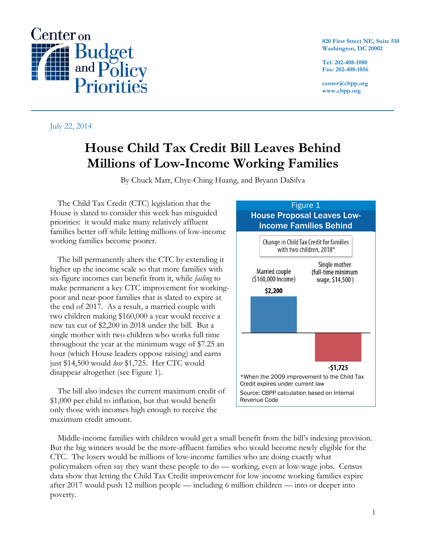

**820 First Street NE, Suite 510 Washington, DC 20002**

**Tel: 202-408-1080 Fax: 202-408-1056**

**center@cbpp.org www.cbpp.org**

July 22, 2014

## **House Child Tax Credit Bill Leaves Behind Millions of Low-Income Working Families**

By Chuck Marr, Chye-Ching Huang, and Bryann DaSilva

The Child Tax Credit (CTC) legislation that the House is slated to consider this week has misguided priorities: it would make many relatively affluent families better off while letting millions of low-income working families become poorer.

The bill permanently alters the CTC by extending it higher up the income scale so that more families with six-figure incomes can benefit from it, while *failing* to make permanent a key CTC improvement for workingpoor and near-poor families that is slated to expire at the end of 2017. As a result, a married couple with two children making \$160,000 a year would receive a new tax cut of \$2,200 in 2018 under the bill. But a single mother with two children who works full time throughout the year at the minimum wage of \$7.25 an hour (which House leaders oppose raising) and earns just \$14,500 would *lose* \$1,725. Her CTC would disappear altogether (see Figure 1).

The bill also indexes the current maximum credit of \$1,000 per child to inflation, but that would benefit only those with incomes high enough to receive the maximum credit amount.



Middle-income families with children would get a small benefit from the bill's indexing provision. But the big winners would be the more-affluent families who would become newly eligible for the CTC. The losers would be millions of low-income families who are doing exactly what policymakers often say they want these people to do — working, even at low-wage jobs. Census data show that letting the Child Tax Credit improvement for low-income working families expire after 2017 would push 12 million people — including 6 million children — into or deeper into poverty.

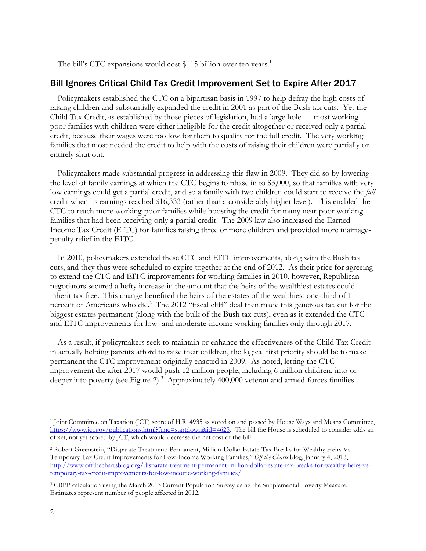The bill's CTC expansions would cost \$115 billion over ten years.<sup>1</sup>

## Bill Ignores Critical Child Tax Credit Improvement Set to Expire After 2017

Policymakers established the CTC on a bipartisan basis in 1997 to help defray the high costs of raising children and substantially expanded the credit in 2001 as part of the Bush tax cuts. Yet the Child Tax Credit, as established by those pieces of legislation, had a large hole — most workingpoor families with children were either ineligible for the credit altogether or received only a partial credit, because their wages were too low for them to qualify for the full credit. The very working families that most needed the credit to help with the costs of raising their children were partially or entirely shut out.

Policymakers made substantial progress in addressing this flaw in 2009. They did so by lowering the level of family earnings at which the CTC begins to phase in to \$3,000, so that families with very low earnings could get a partial credit, and so a family with two children could start to receive the *full* credit when its earnings reached \$16,333 (rather than a considerably higher level). This enabled the CTC to reach more working-poor families while boosting the credit for many near-poor working families that had been receiving only a partial credit. The 2009 law also increased the Earned Income Tax Credit (EITC) for families raising three or more children and provided more marriagepenalty relief in the EITC.

In 2010, policymakers extended these CTC and EITC improvements, along with the Bush tax cuts, and they thus were scheduled to expire together at the end of 2012. As their price for agreeing to extend the CTC and EITC improvements for working families in 2010, however, Republican negotiators secured a hefty increase in the amount that the heirs of the wealthiest estates could inherit tax free. This change benefited the heirs of the estates of the wealthiest one-third of 1 percent of Americans who die.<sup>2</sup> The 2012 "fiscal cliff" deal then made this generous tax cut for the biggest estates permanent (along with the bulk of the Bush tax cuts), even as it extended the CTC and EITC improvements for low- and moderate-income working families only through 2017*.*

As a result, if policymakers seek to maintain or enhance the effectiveness of the Child Tax Credit in actually helping parents afford to raise their children, the logical first priority should be to make permanent the CTC improvement originally enacted in 2009. As noted, letting the CTC improvement die after 2017 would push 12 million people, including 6 million children, into or deeper into poverty (see Figure 2). <sup>3</sup> Approximately 400,000 veteran and armed-forces families

 $\overline{a}$ 

<sup>&</sup>lt;sup>1</sup> Joint Committee on Taxation (JCT) score of H.R. 4935 as voted on and passed by House Ways and Means Committee, [https://www.jct.gov/publications.html?func=startdown&id=4625.](https://www.jct.gov/publications.html?func=startdown&id=4625) The bill the House is scheduled to consider adds an offset, not yet scored by JCT, which would decrease the net cost of the bill.

<sup>2</sup> Robert Greenstein, "Disparate Treatment: Permanent, Million-Dollar Estate-Tax Breaks for Wealthy Heirs Vs. Temporary Tax Credit Improvements for Low-Income Working Families," *Off the Charts* blog, January 4, 2013, [http://www.offthechartsblog.org/disparate-treatment-permanent-million-dollar-estate-tax-breaks-for-wealthy-heirs-vs](http://www.offthechartsblog.org/disparate-treatment-permanent-million-dollar-estate-tax-breaks-for-wealthy-heirs-vs-temporary-tax-credit-improvements-for-low-income-working-families/)[temporary-tax-credit-improvements-for-low-income-working-families/](http://www.offthechartsblog.org/disparate-treatment-permanent-million-dollar-estate-tax-breaks-for-wealthy-heirs-vs-temporary-tax-credit-improvements-for-low-income-working-families/)

<sup>3</sup> CBPP calculation using the March 2013 Current Population Survey using the Supplemental Poverty Measure. Estimates represent number of people affected in 2012.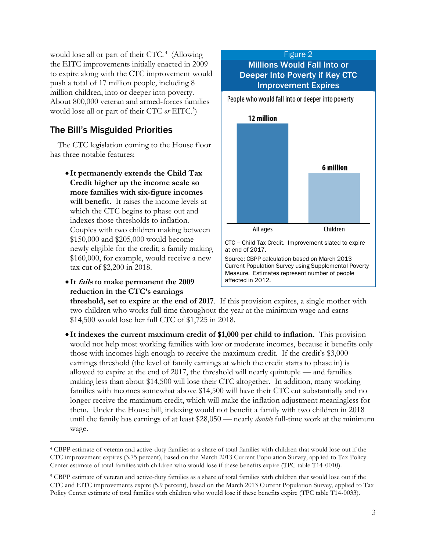would lose all or part of their CTC.<sup>4</sup> (Allowing the EITC improvements initially enacted in 2009 to expire along with the CTC improvement would push a total of 17 million people, including 8 million children, into or deeper into poverty. About 800,000 veteran and armed-forces families would lose all or part of their CTC *or* EITC. 5 )

## The Bill's Misguided Priorities

The CTC legislation coming to the House floor has three notable features:

- **It permanently extends the Child Tax Credit higher up the income scale so more families with six-figure incomes will benefit.** It raises the income levels at which the CTC begins to phase out and indexes those thresholds to inflation. Couples with two children making between \$150,000 and \$205,000 would become newly eligible for the credit; a family making \$160,000, for example, would receive a new tax cut of \$2,200 in 2018.
- **It fails to make permanent the 2009 reduction in the CTC's earnings**

 $\overline{a}$ 



All ages Children

CTC = Child Tax Credit. Improvement slated to expire at end of 2017. Source: CBPP calculation based on March 2013 Current Population Survey using Supplemental Poverty Measure. Estimates represent number of people affected in 2012.

**threshold, set to expire at the end of 2017**. If this provision expires, a single mother with two children who works full time throughout the year at the minimum wage and earns \$14,500 would [lose her full CTC of \\$1,725](http://www.offthechartsblog.org/latest-house-tax-bill-prioritizes-credit-for-affluent-over-working-poor-families/) in 2018.

 **It indexes the current maximum credit of \$1,000 per child to inflation.** This provision would not help most working families with low or moderate incomes, because it benefits only those with incomes high enough to receive the maximum credit. If the credit's \$3,000 earnings threshold (the level of family earnings at which the credit starts to phase in) is allowed to expire at the end of 2017, the threshold will nearly quintuple — and families making less than about \$14,500 will lose their CTC altogether. In addition, many working families with incomes somewhat above \$14,500 will have their CTC cut substantially and no longer receive the maximum credit, which will make the inflation adjustment meaningless for them. Under the House bill, indexing would not benefit a family with two children in 2018 until the family has earnings of at least \$28,050 — nearly *double* full-time work at the minimum wage.

<sup>4</sup> CBPP estimate of veteran and active-duty families as a share of total families with children that would lose out if the CTC improvement expires (3.75 percent), based on the March 2013 Current Population Survey, applied to Tax Policy Center estimate of total families with children who would lose if these benefits expire (TPC table T14-0010).

<sup>5</sup> CBPP estimate of veteran and active-duty families as a share of total families with children that would lose out if the CTC and EITC improvements expire (5.9 percent), based on the March 2013 Current Population Survey, applied to Tax Policy Center estimate of total families with children who would lose if these benefits expire (TPC table T14-0033).